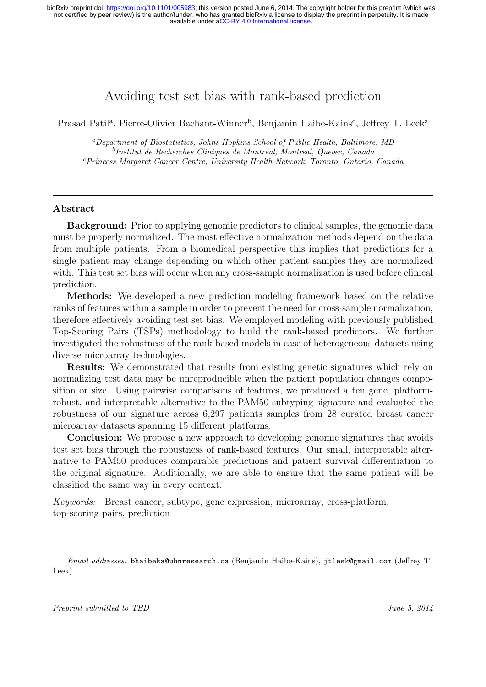# Avoiding test set bias with rank-based prediction

Prasad Patil<sup>a</sup>, Pierre-Olivier Bachant-Winner<sup>b</sup>, Benjamin Haibe-Kains<sup>c</sup>, Jeffrey T. Leek<sup>a</sup>

<sup>a</sup>Department of Biostatistics, Johns Hopkins School of Public Health, Baltimore, MD <sup>b</sup>Institut de Recherches Cliniques de Montréal, Montreal, Quebec, Canada <sup>c</sup>Princess Margaret Cancer Centre, University Health Network, Toronto, Ontario, Canada

## Abstract

Background: Prior to applying genomic predictors to clinical samples, the genomic data must be properly normalized. The most effective normalization methods depend on the data from multiple patients. From a biomedical perspective this implies that predictions for a single patient may change depending on which other patient samples they are normalized with. This test set bias will occur when any cross-sample normalization is used before clinical prediction.

Methods: We developed a new prediction modeling framework based on the relative ranks of features within a sample in order to prevent the need for cross-sample normalization, therefore effectively avoiding test set bias. We employed modeling with previously published Top-Scoring Pairs (TSPs) methodology to build the rank-based predictors. We further investigated the robustness of the rank-based models in case of heterogeneous datasets using diverse microarray technologies.

Results: We demonstrated that results from existing genetic signatures which rely on normalizing test data may be unreproducible when the patient population changes composition or size. Using pairwise comparisons of features, we produced a ten gene, platformrobust, and interpretable alternative to the PAM50 subtyping signature and evaluated the robustness of our signature across 6,297 patients samples from 28 curated breast cancer microarray datasets spanning 15 different platforms.

Conclusion: We propose a new approach to developing genomic signatures that avoids test set bias through the robustness of rank-based features. Our small, interpretable alternative to PAM50 produces comparable predictions and patient survival differentiation to the original signature. Additionally, we are able to ensure that the same patient will be classified the same way in every context.

Keywords: Breast cancer, subtype, gene expression, microarray, cross-platform, top-scoring pairs, prediction

Email addresses: bhaibeka@uhnresearch.ca (Benjamin Haibe-Kains), jtleek@gmail.com (Jeffrey T. Leek)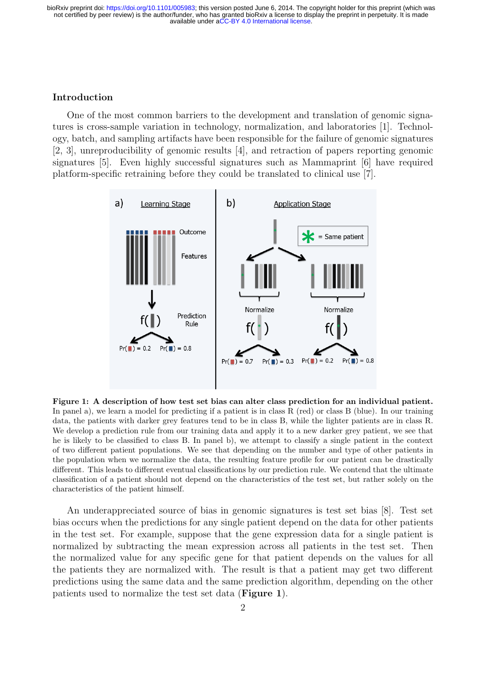#### Introduction

One of the most common barriers to the development and translation of genomic signatures is cross-sample variation in technology, normalization, and laboratories [1]. Technology, batch, and sampling artifacts have been responsible for the failure of genomic signatures [2, 3], unreproducibility of genomic results [4], and retraction of papers reporting genomic signatures [5]. Even highly successful signatures such as Mammaprint [6] have required platform-specific retraining before they could be translated to clinical use [7].



Figure 1: A description of how test set bias can alter class prediction for an individual patient. In panel a), we learn a model for predicting if a patient is in class R (red) or class B (blue). In our training data, the patients with darker grey features tend to be in class B, while the lighter patients are in class R. We develop a prediction rule from our training data and apply it to a new darker grey patient, we see that he is likely to be classified to class B. In panel b), we attempt to classify a single patient in the context of two different patient populations. We see that depending on the number and type of other patients in the population when we normalize the data, the resulting feature profile for our patient can be drastically different. This leads to different eventual classifications by our prediction rule. We contend that the ultimate classification of a patient should not depend on the characteristics of the test set, but rather solely on the characteristics of the patient himself.

An underappreciated source of bias in genomic signatures is test set bias [8]. Test set bias occurs when the predictions for any single patient depend on the data for other patients in the test set. For example, suppose that the gene expression data for a single patient is normalized by subtracting the mean expression across all patients in the test set. Then the normalized value for any specific gene for that patient depends on the values for all the patients they are normalized with. The result is that a patient may get two different predictions using the same data and the same prediction algorithm, depending on the other patients used to normalize the test set data (Figure 1).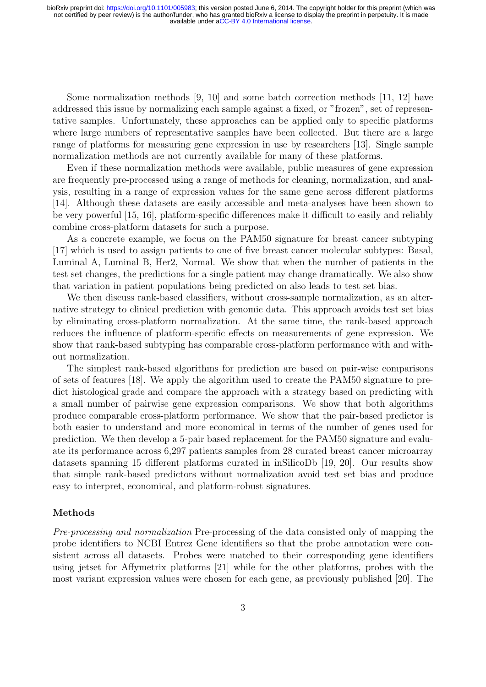Some normalization methods [9, 10] and some batch correction methods [11, 12] have addressed this issue by normalizing each sample against a fixed, or "frozen", set of representative samples. Unfortunately, these approaches can be applied only to specific platforms where large numbers of representative samples have been collected. But there are a large range of platforms for measuring gene expression in use by researchers [13]. Single sample normalization methods are not currently available for many of these platforms.

Even if these normalization methods were available, public measures of gene expression are frequently pre-processed using a range of methods for cleaning, normalization, and analysis, resulting in a range of expression values for the same gene across different platforms [14]. Although these datasets are easily accessible and meta-analyses have been shown to be very powerful [15, 16], platform-specific differences make it difficult to easily and reliably combine cross-platform datasets for such a purpose.

As a concrete example, we focus on the PAM50 signature for breast cancer subtyping [17] which is used to assign patients to one of five breast cancer molecular subtypes: Basal, Luminal A, Luminal B, Her2, Normal. We show that when the number of patients in the test set changes, the predictions for a single patient may change dramatically. We also show that variation in patient populations being predicted on also leads to test set bias.

We then discuss rank-based classifiers, without cross-sample normalization, as an alternative strategy to clinical prediction with genomic data. This approach avoids test set bias by eliminating cross-platform normalization. At the same time, the rank-based approach reduces the influence of platform-specific effects on measurements of gene expression. We show that rank-based subtyping has comparable cross-platform performance with and without normalization.

The simplest rank-based algorithms for prediction are based on pair-wise comparisons of sets of features [18]. We apply the algorithm used to create the PAM50 signature to predict histological grade and compare the approach with a strategy based on predicting with a small number of pairwise gene expression comparisons. We show that both algorithms produce comparable cross-platform performance. We show that the pair-based predictor is both easier to understand and more economical in terms of the number of genes used for prediction. We then develop a 5-pair based replacement for the PAM50 signature and evaluate its performance across 6,297 patients samples from 28 curated breast cancer microarray datasets spanning 15 different platforms curated in inSilicoDb [19, 20]. Our results show that simple rank-based predictors without normalization avoid test set bias and produce easy to interpret, economical, and platform-robust signatures.

## Methods

Pre-processing and normalization Pre-processing of the data consisted only of mapping the probe identifiers to NCBI Entrez Gene identifiers so that the probe annotation were consistent across all datasets. Probes were matched to their corresponding gene identifiers using jetset for Affymetrix platforms [21] while for the other platforms, probes with the most variant expression values were chosen for each gene, as previously published [20]. The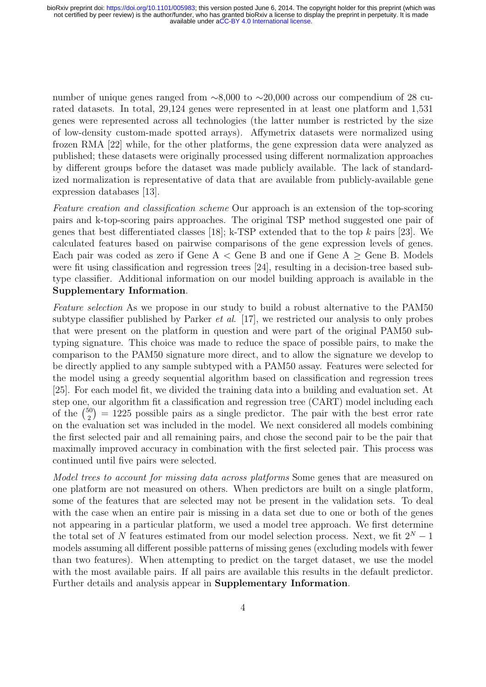number of unique genes ranged from ∼8,000 to ∼20,000 across our compendium of 28 curated datasets. In total, 29,124 genes were represented in at least one platform and 1,531 genes were represented across all technologies (the latter number is restricted by the size of low-density custom-made spotted arrays). Affymetrix datasets were normalized using frozen RMA [22] while, for the other platforms, the gene expression data were analyzed as published; these datasets were originally processed using different normalization approaches by different groups before the dataset was made publicly available. The lack of standardized normalization is representative of data that are available from publicly-available gene expression databases [13].

Feature creation and classification scheme Our approach is an extension of the top-scoring pairs and k-top-scoring pairs approaches. The original TSP method suggested one pair of genes that best differentiated classes [18]; k-TSP extended that to the top  $k$  pairs [23]. We calculated features based on pairwise comparisons of the gene expression levels of genes. Each pair was coded as zero if Gene  $A <$  Gene B and one if Gene  $A \geq$  Gene B. Models were fit using classification and regression trees [24], resulting in a decision-tree based subtype classifier. Additional information on our model building approach is available in the Supplementary Information.

Feature selection As we propose in our study to build a robust alternative to the PAM50 subtype classifier published by Parker *et al.* [17], we restricted our analysis to only probes that were present on the platform in question and were part of the original PAM50 subtyping signature. This choice was made to reduce the space of possible pairs, to make the comparison to the PAM50 signature more direct, and to allow the signature we develop to be directly applied to any sample subtyped with a PAM50 assay. Features were selected for the model using a greedy sequential algorithm based on classification and regression trees [25]. For each model fit, we divided the training data into a building and evaluation set. At step one, our algorithm fit a classification and regression tree (CART) model including each of the  $\binom{50}{2}$  $\binom{50}{2}$  = 1225 possible pairs as a single predictor. The pair with the best error rate on the evaluation set was included in the model. We next considered all models combining the first selected pair and all remaining pairs, and chose the second pair to be the pair that maximally improved accuracy in combination with the first selected pair. This process was continued until five pairs were selected.

Model trees to account for missing data across platforms Some genes that are measured on one platform are not measured on others. When predictors are built on a single platform, some of the features that are selected may not be present in the validation sets. To deal with the case when an entire pair is missing in a data set due to one or both of the genes not appearing in a particular platform, we used a model tree approach. We first determine the total set of N features estimated from our model selection process. Next, we fit  $2^N - 1$ models assuming all different possible patterns of missing genes (excluding models with fewer than two features). When attempting to predict on the target dataset, we use the model with the most available pairs. If all pairs are available this results in the default predictor. Further details and analysis appear in Supplementary Information.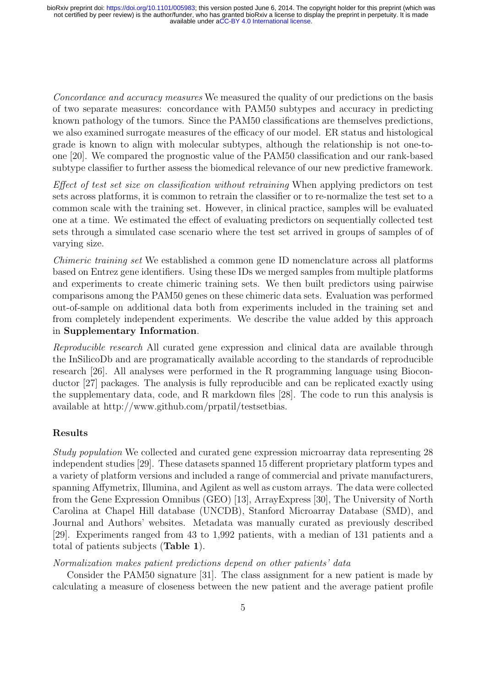Concordance and accuracy measures We measured the quality of our predictions on the basis of two separate measures: concordance with PAM50 subtypes and accuracy in predicting known pathology of the tumors. Since the PAM50 classifications are themselves predictions, we also examined surrogate measures of the efficacy of our model. ER status and histological grade is known to align with molecular subtypes, although the relationship is not one-toone [20]. We compared the prognostic value of the PAM50 classification and our rank-based subtype classifier to further assess the biomedical relevance of our new predictive framework.

Effect of test set size on classification without retraining When applying predictors on test sets across platforms, it is common to retrain the classifier or to re-normalize the test set to a common scale with the training set. However, in clinical practice, samples will be evaluated one at a time. We estimated the effect of evaluating predictors on sequentially collected test sets through a simulated case scenario where the test set arrived in groups of samples of of varying size.

Chimeric training set We established a common gene ID nomenclature across all platforms based on Entrez gene identifiers. Using these IDs we merged samples from multiple platforms and experiments to create chimeric training sets. We then built predictors using pairwise comparisons among the PAM50 genes on these chimeric data sets. Evaluation was performed out-of-sample on additional data both from experiments included in the training set and from completely independent experiments. We describe the value added by this approach in Supplementary Information.

Reproducible research All curated gene expression and clinical data are available through the InSilicoDb and are programatically available according to the standards of reproducible research [26]. All analyses were performed in the R programming language using Bioconductor [27] packages. The analysis is fully reproducible and can be replicated exactly using the supplementary data, code, and R markdown files [28]. The code to run this analysis is available at http://www.github.com/prpatil/testsetbias.

## Results

Study population We collected and curated gene expression microarray data representing 28 independent studies [29]. These datasets spanned 15 different proprietary platform types and a variety of platform versions and included a range of commercial and private manufacturers, spanning Affymetrix, Illumina, and Agilent as well as custom arrays. The data were collected from the Gene Expression Omnibus (GEO) [13], ArrayExpress [30], The University of North Carolina at Chapel Hill database (UNCDB), Stanford Microarray Database (SMD), and Journal and Authors' websites. Metadata was manually curated as previously described [29]. Experiments ranged from 43 to 1,992 patients, with a median of 131 patients and a total of patients subjects (Table 1).

## Normalization makes patient predictions depend on other patients' data

Consider the PAM50 signature [31]. The class assignment for a new patient is made by calculating a measure of closeness between the new patient and the average patient profile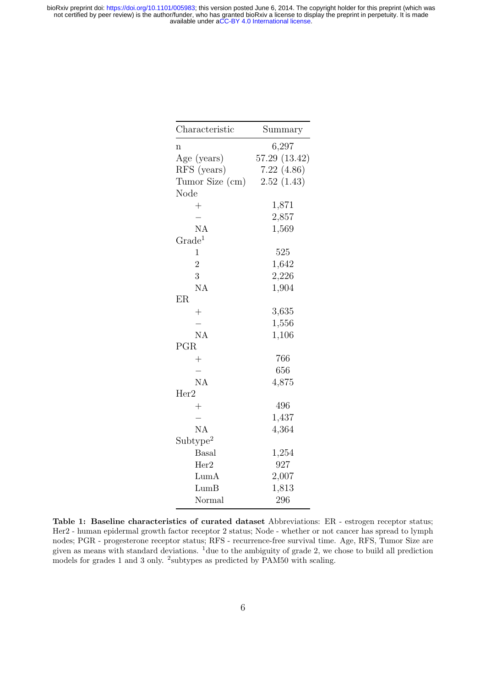| Summary       |
|---------------|
| 6,297         |
| 57.29 (13.42) |
| 7.22(4.86)    |
| 2.52(1.43)    |
|               |
| 1,871         |
| 2,857         |
| 1,569         |
|               |
| 525           |
| 1,642         |
| 2,226         |
| 1,904         |
|               |
| 3,635         |
| 1,556         |
| 1,106         |
|               |
| 766           |
| 656           |
| 4,875         |
|               |
| 496           |
| 1,437         |
| 4,364         |
|               |
| 1,254         |
| 927           |
| 2,007         |
| 1,813         |
| 296           |
|               |

Table 1: Baseline characteristics of curated dataset Abbreviations: ER - estrogen receptor status; Her2 - human epidermal growth factor receptor 2 status; Node - whether or not cancer has spread to lymph nodes; PGR - progesterone receptor status; RFS - recurrence-free survival time. Age, RFS, Tumor Size are given as means with standard deviations. <sup>1</sup>due to the ambiguity of grade 2, we chose to build all prediction models for grades 1 and 3 only. <sup>2</sup>subtypes as predicted by PAM50 with scaling.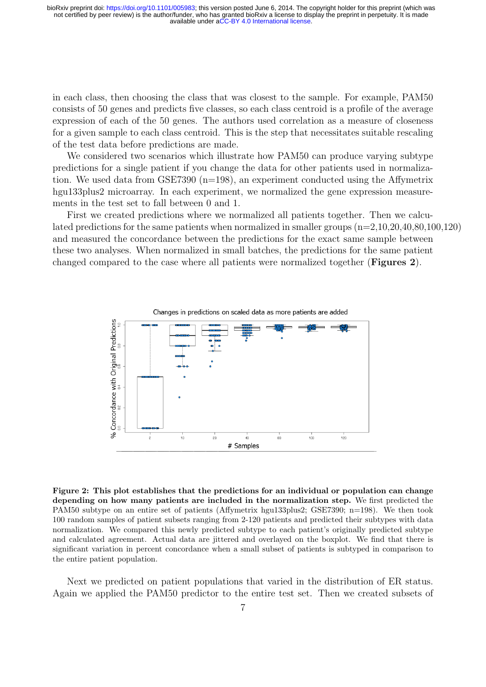in each class, then choosing the class that was closest to the sample. For example, PAM50 consists of 50 genes and predicts five classes, so each class centroid is a profile of the average expression of each of the 50 genes. The authors used correlation as a measure of closeness for a given sample to each class centroid. This is the step that necessitates suitable rescaling of the test data before predictions are made.

We considered two scenarios which illustrate how PAM50 can produce varying subtype predictions for a single patient if you change the data for other patients used in normalization. We used data from  $GSE7390$  (n=198), an experiment conducted using the Affymetrix hgu133plus2 microarray. In each experiment, we normalized the gene expression measurements in the test set to fall between 0 and 1.

First we created predictions where we normalized all patients together. Then we calculated predictions for the same patients when normalized in smaller groups (n=2,10,20,40,80,100,120) and measured the concordance between the predictions for the exact same sample between these two analyses. When normalized in small batches, the predictions for the same patient changed compared to the case where all patients were normalized together (Figures 2).



Figure 2: This plot establishes that the predictions for an individual or population can change depending on how many patients are included in the normalization step. We first predicted the PAM50 subtype on an entire set of patients (Affymetrix hgu133plus2; GSE7390; n=198). We then took 100 random samples of patient subsets ranging from 2-120 patients and predicted their subtypes with data normalization. We compared this newly predicted subtype to each patient's originally predicted subtype and calculated agreement. Actual data are jittered and overlayed on the boxplot. We find that there is significant variation in percent concordance when a small subset of patients is subtyped in comparison to the entire patient population.

Next we predicted on patient populations that varied in the distribution of ER status. Again we applied the PAM50 predictor to the entire test set. Then we created subsets of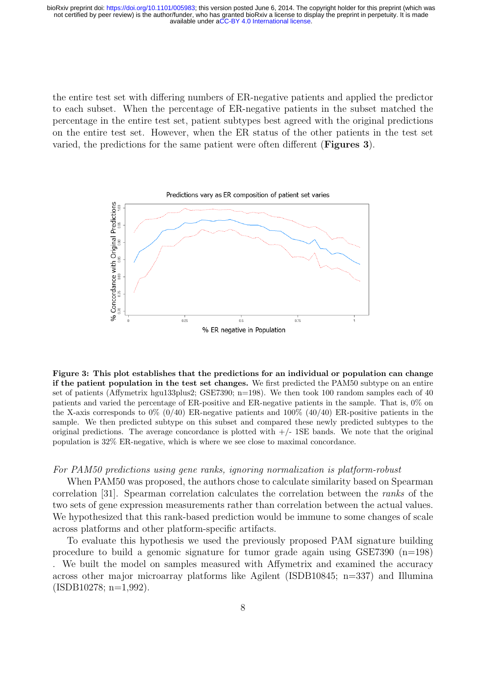the entire test set with differing numbers of ER-negative patients and applied the predictor to each subset. When the percentage of ER-negative patients in the subset matched the percentage in the entire test set, patient subtypes best agreed with the original predictions on the entire test set. However, when the ER status of the other patients in the test set varied, the predictions for the same patient were often different (Figures 3).



Figure 3: This plot establishes that the predictions for an individual or population can change if the patient population in the test set changes. We first predicted the PAM50 subtype on an entire set of patients (Affymetrix hgu133plus2; GSE7390; n=198). We then took 100 random samples each of 40 patients and varied the percentage of ER-positive and ER-negative patients in the sample. That is, 0% on the X-axis corresponds to  $0\%$  (0/40) ER-negative patients and 100% (40/40) ER-positive patients in the sample. We then predicted subtype on this subset and compared these newly predicted subtypes to the original predictions. The average concordance is plotted with  $+/-$  1SE bands. We note that the original population is 32% ER-negative, which is where we see close to maximal concordance.

#### For PAM50 predictions using gene ranks, ignoring normalization is platform-robust

When PAM50 was proposed, the authors chose to calculate similarity based on Spearman correlation [31]. Spearman correlation calculates the correlation between the ranks of the two sets of gene expression measurements rather than correlation between the actual values. We hypothesized that this rank-based prediction would be immune to some changes of scale across platforms and other platform-specific artifacts.

To evaluate this hypothesis we used the previously proposed PAM signature building procedure to build a genomic signature for tumor grade again using  $GSE7390$  (n=198) . We built the model on samples measured with Affymetrix and examined the accuracy across other major microarray platforms like Agilent (ISDB10845; n=337) and Illumina  $(ISDB10278; n=1.992)$ .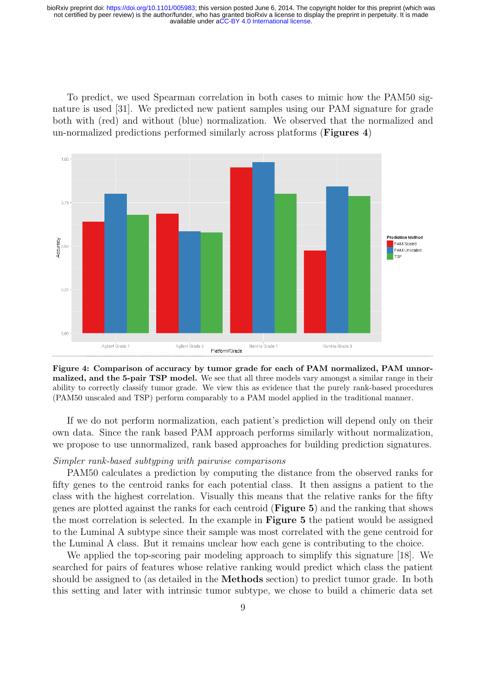To predict, we used Spearman correlation in both cases to mimic how the PAM50 signature is used [31]. We predicted new patient samples using our PAM signature for grade both with (red) and without (blue) normalization. We observed that the normalized and un-normalized predictions performed similarly across platforms (Figures 4)



Figure 4: Comparison of accuracy by tumor grade for each of PAM normalized, PAM unnormalized, and the 5-pair TSP model. We see that all three models vary amongst a similar range in their ability to correctly classify tumor grade. We view this as evidence that the purely rank-based procedures (PAM50 unscaled and TSP) perform comparably to a PAM model applied in the traditional manner.

If we do not perform normalization, each patient's prediction will depend only on their own data. Since the rank based PAM approach performs similarly without normalization, we propose to use unnormalized, rank based approaches for building prediction signatures.

## Simpler rank-based subtyping with pairwise comparisons

PAM50 calculates a prediction by computing the distance from the observed ranks for fifty genes to the centroid ranks for each potential class. It then assigns a patient to the class with the highest correlation. Visually this means that the relative ranks for the fifty genes are plotted against the ranks for each centroid (Figure 5) and the ranking that shows the most correlation is selected. In the example in Figure 5 the patient would be assigned to the Luminal A subtype since their sample was most correlated with the gene centroid for the Luminal A class. But it remains unclear how each gene is contributing to the choice.

We applied the top-scoring pair modeling approach to simplify this signature [18]. We searched for pairs of features whose relative ranking would predict which class the patient should be assigned to (as detailed in the Methods section) to predict tumor grade. In both this setting and later with intrinsic tumor subtype, we chose to build a chimeric data set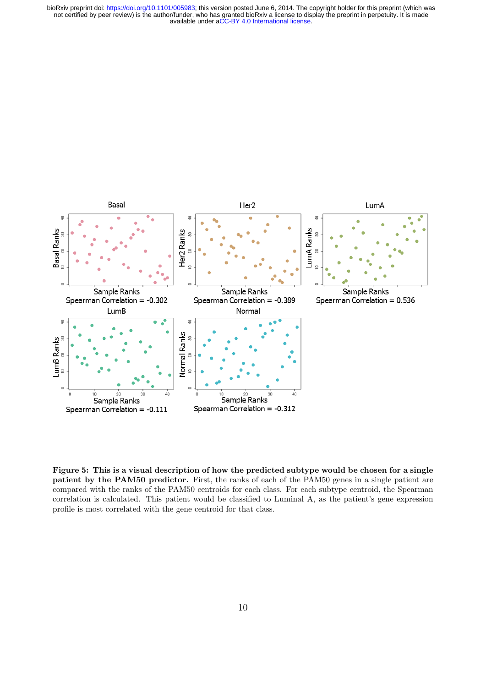

Figure 5: This is a visual description of how the predicted subtype would be chosen for a single patient by the PAM50 predictor. First, the ranks of each of the PAM50 genes in a single patient are compared with the ranks of the PAM50 centroids for each class. For each subtype centroid, the Spearman correlation is calculated. This patient would be classified to Luminal A, as the patient's gene expression profile is most correlated with the gene centroid for that class.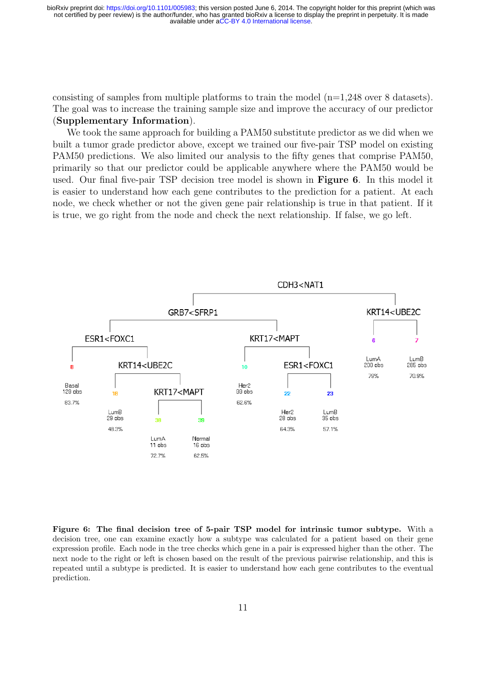consisting of samples from multiple platforms to train the model  $(n=1,248)$  over 8 datasets). The goal was to increase the training sample size and improve the accuracy of our predictor (Supplementary Information).

We took the same approach for building a PAM50 substitute predictor as we did when we built a tumor grade predictor above, except we trained our five-pair TSP model on existing PAM50 predictions. We also limited our analysis to the fifty genes that comprise PAM50, primarily so that our predictor could be applicable anywhere where the PAM50 would be used. Our final five-pair TSP decision tree model is shown in Figure 6. In this model it is easier to understand how each gene contributes to the prediction for a patient. At each node, we check whether or not the given gene pair relationship is true in that patient. If it is true, we go right from the node and check the next relationship. If false, we go left.



Figure 6: The final decision tree of 5-pair TSP model for intrinsic tumor subtype. With a decision tree, one can examine exactly how a subtype was calculated for a patient based on their gene expression profile. Each node in the tree checks which gene in a pair is expressed higher than the other. The next node to the right or left is chosen based on the result of the previous pairwise relationship, and this is repeated until a subtype is predicted. It is easier to understand how each gene contributes to the eventual prediction.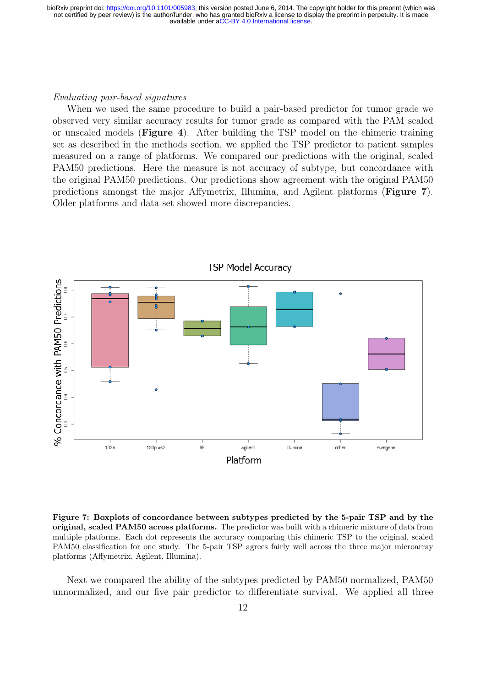#### Evaluating pair-based signatures

When we used the same procedure to build a pair-based predictor for tumor grade we observed very similar accuracy results for tumor grade as compared with the PAM scaled or unscaled models (Figure 4). After building the TSP model on the chimeric training set as described in the methods section, we applied the TSP predictor to patient samples measured on a range of platforms. We compared our predictions with the original, scaled PAM50 predictions. Here the measure is not accuracy of subtype, but concordance with the original PAM50 predictions. Our predictions show agreement with the original PAM50 predictions amongst the major Affymetrix, Illumina, and Agilent platforms (Figure 7). Older platforms and data set showed more discrepancies.



**TSP Model Accuracy** 

Figure 7: Boxplots of concordance between subtypes predicted by the 5-pair TSP and by the original, scaled PAM50 across platforms. The predictor was built with a chimeric mixture of data from multiple platforms. Each dot represents the accuracy comparing this chimeric TSP to the original, scaled PAM50 classification for one study. The 5-pair TSP agrees fairly well across the three major microarray platforms (Affymetrix, Agilent, Illumina).

Next we compared the ability of the subtypes predicted by PAM50 normalized, PAM50 unnormalized, and our five pair predictor to differentiate survival. We applied all three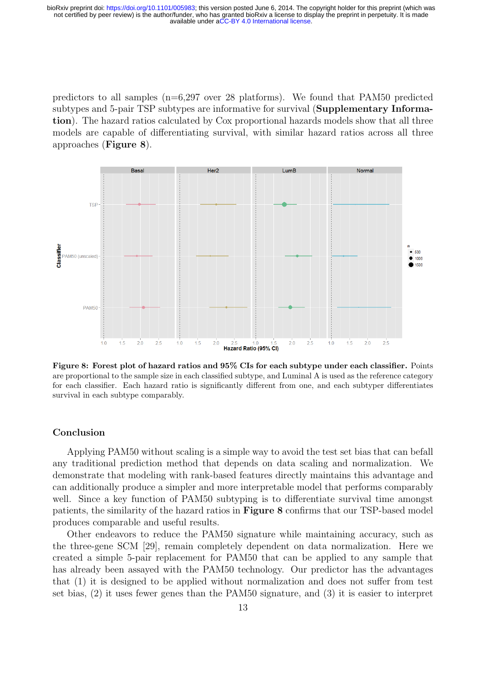predictors to all samples (n=6,297 over 28 platforms). We found that PAM50 predicted subtypes and 5-pair TSP subtypes are informative for survival (Supplementary Information). The hazard ratios calculated by Cox proportional hazards models show that all three models are capable of differentiating survival, with similar hazard ratios across all three approaches (Figure 8).



Figure 8: Forest plot of hazard ratios and 95% CIs for each subtype under each classifier. Points are proportional to the sample size in each classified subtype, and Luminal A is used as the reference category for each classifier. Each hazard ratio is significantly different from one, and each subtyper differentiates survival in each subtype comparably.

## Conclusion

Applying PAM50 without scaling is a simple way to avoid the test set bias that can befall any traditional prediction method that depends on data scaling and normalization. We demonstrate that modeling with rank-based features directly maintains this advantage and can additionally produce a simpler and more interpretable model that performs comparably well. Since a key function of PAM50 subtyping is to differentiate survival time amongst patients, the similarity of the hazard ratios in Figure 8 confirms that our TSP-based model produces comparable and useful results.

Other endeavors to reduce the PAM50 signature while maintaining accuracy, such as the three-gene SCM [29], remain completely dependent on data normalization. Here we created a simple 5-pair replacement for PAM50 that can be applied to any sample that has already been assayed with the PAM50 technology. Our predictor has the advantages that (1) it is designed to be applied without normalization and does not suffer from test set bias, (2) it uses fewer genes than the PAM50 signature, and (3) it is easier to interpret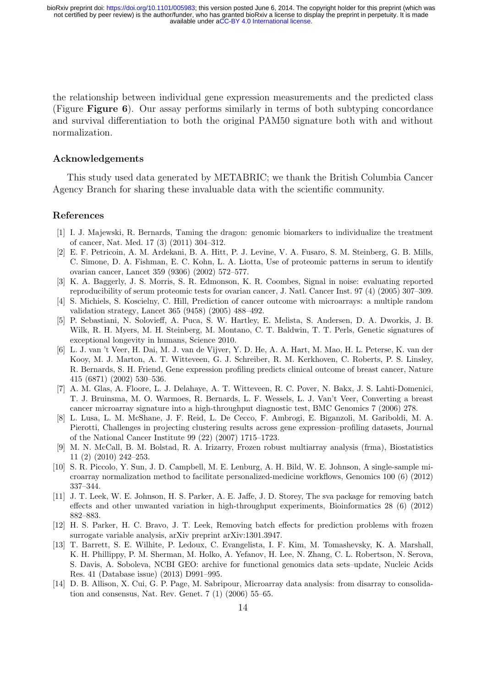the relationship between individual gene expression measurements and the predicted class (Figure Figure 6). Our assay performs similarly in terms of both subtyping concordance and survival differentiation to both the original PAM50 signature both with and without normalization.

## Acknowledgements

This study used data generated by METABRIC; we thank the British Columbia Cancer Agency Branch for sharing these invaluable data with the scientific community.

#### References

- [1] I. J. Majewski, R. Bernards, Taming the dragon: genomic biomarkers to individualize the treatment of cancer, Nat. Med. 17 (3) (2011) 304–312.
- [2] E. F. Petricoin, A. M. Ardekani, B. A. Hitt, P. J. Levine, V. A. Fusaro, S. M. Steinberg, G. B. Mills, C. Simone, D. A. Fishman, E. C. Kohn, L. A. Liotta, Use of proteomic patterns in serum to identify ovarian cancer, Lancet 359 (9306) (2002) 572–577.
- [3] K. A. Baggerly, J. S. Morris, S. R. Edmonson, K. R. Coombes, Signal in noise: evaluating reported reproducibility of serum proteomic tests for ovarian cancer, J. Natl. Cancer Inst. 97 (4) (2005) 307–309.
- [4] S. Michiels, S. Koscielny, C. Hill, Prediction of cancer outcome with microarrays: a multiple random validation strategy, Lancet 365 (9458) (2005) 488–492.
- [5] P. Sebastiani, N. Solovieff, A. Puca, S. W. Hartley, E. Melista, S. Andersen, D. A. Dworkis, J. B. Wilk, R. H. Myers, M. H. Steinberg, M. Montano, C. T. Baldwin, T. T. Perls, Genetic signatures of exceptional longevity in humans, Science 2010.
- [6] L. J. van 't Veer, H. Dai, M. J. van de Vijver, Y. D. He, A. A. Hart, M. Mao, H. L. Peterse, K. van der Kooy, M. J. Marton, A. T. Witteveen, G. J. Schreiber, R. M. Kerkhoven, C. Roberts, P. S. Linsley, R. Bernards, S. H. Friend, Gene expression profiling predicts clinical outcome of breast cancer, Nature 415 (6871) (2002) 530–536.
- [7] A. M. Glas, A. Floore, L. J. Delahaye, A. T. Witteveen, R. C. Pover, N. Bakx, J. S. Lahti-Domenici, T. J. Bruinsma, M. O. Warmoes, R. Bernards, L. F. Wessels, L. J. Van't Veer, Converting a breast cancer microarray signature into a high-throughput diagnostic test, BMC Genomics 7 (2006) 278.
- [8] L. Lusa, L. M. McShane, J. F. Reid, L. De Cecco, F. Ambrogi, E. Biganzoli, M. Gariboldi, M. A. Pierotti, Challenges in projecting clustering results across gene expression–profiling datasets, Journal of the National Cancer Institute 99 (22) (2007) 1715–1723.
- [9] M. N. McCall, B. M. Bolstad, R. A. Irizarry, Frozen robust multiarray analysis (frma), Biostatistics 11 (2) (2010) 242–253.
- [10] S. R. Piccolo, Y. Sun, J. D. Campbell, M. E. Lenburg, A. H. Bild, W. E. Johnson, A single-sample microarray normalization method to facilitate personalized-medicine workflows, Genomics 100 (6) (2012) 337–344.
- [11] J. T. Leek, W. E. Johnson, H. S. Parker, A. E. Jaffe, J. D. Storey, The sva package for removing batch effects and other unwanted variation in high-throughput experiments, Bioinformatics 28 (6) (2012) 882–883.
- [12] H. S. Parker, H. C. Bravo, J. T. Leek, Removing batch effects for prediction problems with frozen surrogate variable analysis, arXiv preprint arXiv:1301.3947.
- [13] T. Barrett, S. E. Wilhite, P. Ledoux, C. Evangelista, I. F. Kim, M. Tomashevsky, K. A. Marshall, K. H. Phillippy, P. M. Sherman, M. Holko, A. Yefanov, H. Lee, N. Zhang, C. L. Robertson, N. Serova, S. Davis, A. Soboleva, NCBI GEO: archive for functional genomics data sets–update, Nucleic Acids Res. 41 (Database issue) (2013) D991–995.
- [14] D. B. Allison, X. Cui, G. P. Page, M. Sabripour, Microarray data analysis: from disarray to consolidation and consensus, Nat. Rev. Genet. 7 (1) (2006) 55–65.